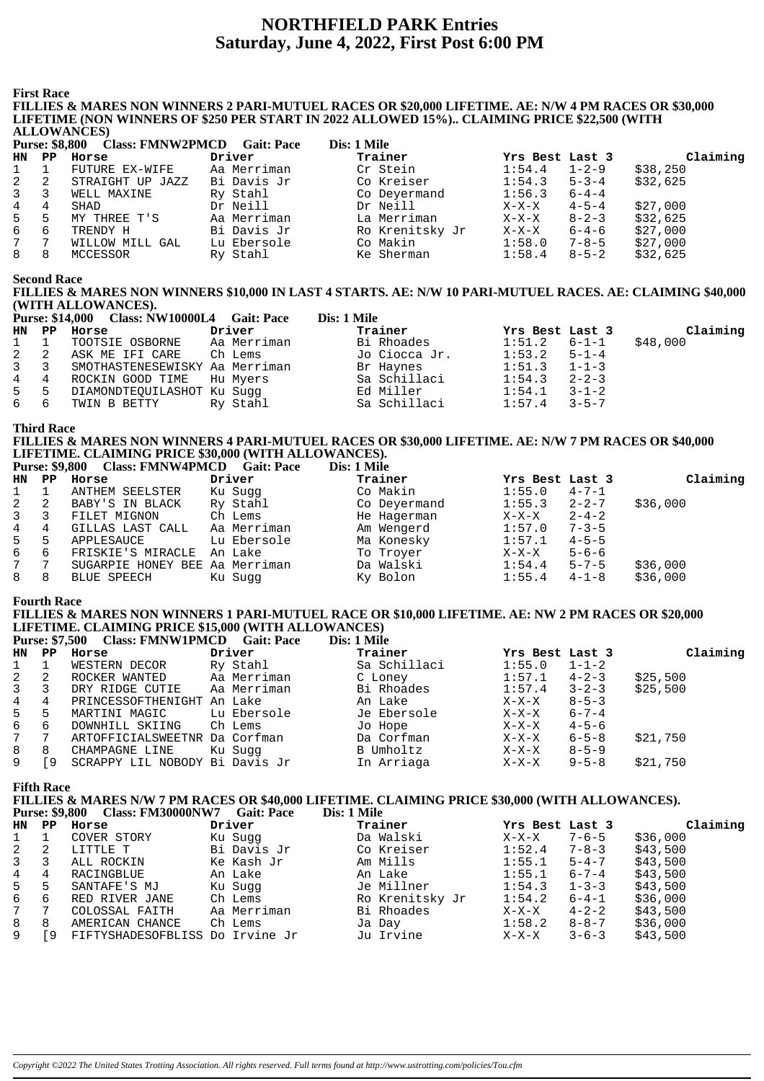## **NORTHFIELD PARK Entries Saturday, June 4, 2022, First Post 6:00 PM**

**First Race**

#### **FILLIES & MARES NON WINNERS 2 PARI-MUTUEL RACES OR \$20,000 LIFETIME. AE: N/W 4 PM RACES OR \$30,000 LIFETIME (NON WINNERS OF \$250 PER START IN 2022 ALLOWED 15%).. CLAIMING PRICE \$22,500 (WITH ALLOWANCES)**

|    | <b>Class: FMNW2PMCD</b><br>Dis: 1 Mile<br><b>Purse: \$8,800</b><br><b>Gait: Pace</b> |                  |             |                 |                 |             |          |  |  |
|----|--------------------------------------------------------------------------------------|------------------|-------------|-----------------|-----------------|-------------|----------|--|--|
| HN | PP.                                                                                  | Horse            | Driver      | Trainer         | Yrs Best Last 3 |             | Claiming |  |  |
|    |                                                                                      | FUTURE EX-WIFE   | Aa Merriman | Cr Stein        | 1:54.4          | $1 - 2 - 9$ | \$38,250 |  |  |
| 2  | -2                                                                                   | STRAIGHT UP JAZZ | Bi Davis Jr | Co Kreiser      | 1:54.3          | $5 - 3 - 4$ | \$32,625 |  |  |
| 3  |                                                                                      | WELL MAXINE      | Ry Stahl    | Co Deyermand    | 1:56.3          | $6 - 4 - 4$ |          |  |  |
| 4  | 4                                                                                    | SHAD             | Dr Neill    | Dr Neill        | $X-X-X$         | $4 - 5 - 4$ | \$27.000 |  |  |
| 5  | 5                                                                                    | MY THREE T'S     | Aa Merriman | La Merriman     | X-X-X           | $8 - 2 - 3$ | \$32,625 |  |  |
| 6  | 6                                                                                    | TRENDY H         | Bi Davis Jr | Ro Krenitsky Jr | $X-X-X$         | $6 - 4 - 6$ | \$27.000 |  |  |
| 7  | 7                                                                                    | WILLOW MILL GAL  | Lu Ebersole | Co Makin        | 1:58.0          | $7 - 8 - 5$ | \$27,000 |  |  |
| 8  | 8                                                                                    | MCCESSOR         | Ry Stahl    | Ke Sherman      | 1:58.4          | $8 - 5 - 2$ | \$32,625 |  |  |
|    |                                                                                      |                  |             |                 |                 |             |          |  |  |

**Second Race**

**FILLIES & MARES NON WINNERS \$10,000 IN LAST 4 STARTS. AE: N/W 10 PARI-MUTUEL RACES. AE: CLAIMING \$40,000 (WITH ALLOWANCES).**

|             | <b>Purse: \$14,000 Class: NW10000L4 Gait: Pace</b> |          | Dis: 1 Mile   |                  |             |          |
|-------------|----------------------------------------------------|----------|---------------|------------------|-------------|----------|
|             | HN PP Horse                                        | Driver   | Trainer       | Yrs Best Last 3  |             | Claiming |
| $1 \quad 1$ | TOOTSIE OSBORNE – Aa Merriman                      |          | Bi Rhoades    | $1:51.2$ $6-1-1$ |             | \$48,000 |
|             | 2 2 ASK ME IFI CARE Ch Lems                        |          | Jo Ciocca Jr. | $1:53.2$ $5-1-4$ |             |          |
|             | 3 3 SMOTHASTENESEWISKY Aa Merriman                 |          | Br Haynes     | $1:51.3$ $1-1-3$ |             |          |
|             | 4 4 ROCKIN GOOD TIME Hu Myers                      |          | Sa Schillaci  | 1:54.3           | $2 - 2 - 3$ |          |
|             | 5 5 DIAMONDTEOUILASHOT Ku Suqq                     |          | Ed Miller     | 1:54.1           | $3 - 1 - 2$ |          |
|             | 6 6 TWIN B BETTY                                   | Ry Stahl | Sa Schillaci  | 1:57.4           | $3 - 5 - 7$ |          |

**Third Race**

**FILLIES & MARES NON WINNERS 4 PARI-MUTUEL RACES OR \$30,000 LIFETIME. AE: N/W 7 PM RACES OR \$40,000 LIFETIME. CLAIMING PRICE \$30,000 (WITH ALLOWANCES). Purse: \$9,800 Class: FMNW4PMCD Cait: Pace** 

|              | 1 ULSC. 97,000 | Class, FIVIIV VI TI IVICD Gall, Late |             | різ. І ічше  |                 |             |          |
|--------------|----------------|--------------------------------------|-------------|--------------|-----------------|-------------|----------|
| HN PP        |                | Horse                                | Driver      | Trainer      | Yrs Best Last 3 |             | Claiming |
| $\mathbf{1}$ |                | ANTHEM SEELSTER                      | Ku Sugg     | Co Makin     | 1:55.0          | $4 - 7 - 1$ |          |
| 2            | -2             | BABY'S IN BLACK                      | Ry Stahl    | Co Deyermand | 1:55.3          | $2 - 2 - 7$ | \$36,000 |
| $\mathbf{3}$ |                | FILET MIGNON                         | Ch Lems     | He Hagerman  | X-X-X           | $2 - 4 - 2$ |          |
| 4            | 4              | GILLAS LAST CALL                     | Aa Merriman | Am Wengerd   | 1:57.0          | $7 - 3 - 5$ |          |
| 5            | 5              | APPLESAUCE                           | Lu Ebersole | Ma Konesky   | 1:57.1          | $4 - 5 - 5$ |          |
| 6            | 6              | FRISKIE'S MIRACLE                    | An Lake     | To Troyer    | $X-X-X$         | $5 - 6 - 6$ |          |
| 7            | 7              | SUGARPIE HONEY BEE Aa Merriman       |             | Da Walski    | 1:54.4          | $5 - 7 - 5$ | \$36,000 |
| 8            | 8              | BLUE SPEECH                          | Ku Sugg     | Ky Bolon     | 1:55.4          | $4 - 1 - 8$ | \$36,000 |
|              |                |                                      |             |              |                 |             |          |

#### **Fourth Race**

#### **FILLIES & MARES NON WINNERS 1 PARI-MUTUEL RACE OR \$10,000 LIFETIME. AE: NW 2 PM RACES OR \$20,000 LIFETIME. CLAIMING PRICE \$15,000 (WITH ALLOWANCES) Purse: \$7,500 Class: FMNW1PMCD Gait: Pace**

|                   |                 |                         | DIS, I VIIIE                                                                                                                                                                                    |         |             |                                                              |
|-------------------|-----------------|-------------------------|-------------------------------------------------------------------------------------------------------------------------------------------------------------------------------------------------|---------|-------------|--------------------------------------------------------------|
| HN<br>$_{\rm PP}$ |                 | Driver                  | Trainer                                                                                                                                                                                         |         |             | Claiming                                                     |
|                   | WESTERN DECOR   | Ry Stahl                | Sa Schillaci                                                                                                                                                                                    | 1:55.0  |             |                                                              |
| -2                | ROCKER WANTED   |                         | C Loney                                                                                                                                                                                         | 1:57.1  |             | \$25,500                                                     |
| 3                 | DRY RIDGE CUTIE | Aa Merriman             | Bi Rhoades                                                                                                                                                                                      | 1:57.4  |             | \$25,500                                                     |
| 4                 |                 |                         | An Lake                                                                                                                                                                                         | X-X-X   | $8 - 5 - 3$ |                                                              |
| -5                | MARTINI MAGIC   |                         | Je Ebersole                                                                                                                                                                                     | $X-X-X$ | $6 - 7 - 4$ |                                                              |
| 6                 | DOWNHILL SKIING |                         | Jo Hope                                                                                                                                                                                         | X-X-X   | $4 - 5 - 6$ |                                                              |
| -7                |                 |                         | Da Corfman                                                                                                                                                                                      | X-X-X   | $6 - 5 - 8$ | \$21,750                                                     |
| 8                 |                 | Ku Sugg                 | B Umholtz                                                                                                                                                                                       | X-X-X   | $8 - 5 - 9$ |                                                              |
| ſ9                |                 |                         | In Arriaga                                                                                                                                                                                      | X-X-X   | $9 - 5 - 8$ | \$21,750                                                     |
|                   |                 | Horse<br>CHAMPAGNE LINE | <b>FUISE:</b> 57,500 Class: FININ WILTIMCD Gall: Face<br>Aa Merriman<br>PRINCESSOFTHENIGHT An Lake<br>Lu Ebersole<br>Ch Lems<br>ARTOFFICIALSWEETNR Da Corfman<br>SCRAPPY LIL NOBODY Bi Davis Jr |         |             | Yrs Best Last 3<br>$1 - 1 - 2$<br>$4 - 2 - 3$<br>$3 - 2 - 3$ |

#### **Fifth Race**

**FILLIES & MARES N/W 7 PM RACES OR \$40,000 LIFETIME. CLAIMING PRICE \$30,000 (WITH ALLOWANCES). Purse: \$9,800 Class: FM30000NW7 Gait: Pace** 

| HN PP        |     | Horse                           | Driver      | Trainer         | Yrs Best Last 3 |             | Claiming |
|--------------|-----|---------------------------------|-------------|-----------------|-----------------|-------------|----------|
| $1 \quad$    |     | COVER STORY                     | Ku Suqq     | Da Walski       | $X-X-X$         | $7 - 6 - 5$ | \$36,000 |
| $\mathbf{2}$ | -2  | LITTLE T                        | Bi Davis Jr | Co Kreiser      | 1:52.4          | $7 - 8 - 3$ | \$43,500 |
| $3 \quad$    |     | ALL ROCKIN                      | Ke Kash Jr  | Am Mills        | 1:55.1          | $5 - 4 - 7$ | \$43,500 |
| $4 \quad$    | 4   | RACINGBLUE                      | An Lake     | An Lake         | 1:55.1          | $6 - 7 - 4$ | \$43,500 |
| $5^{\circ}$  | -5  | SANTAFE'S MJ                    | Ku Sugg     | Je Millner      | 1:54.3          | $1 - 3 - 3$ | \$43,500 |
| 6            | -6  | RED RIVER JANE                  | Ch Lems     | Ro Krenitsky Jr | 1:54.2          | $6 - 4 - 1$ | \$36,000 |
| 7            |     | COLOSSAL FAITH                  | Aa Merriman | Bi Rhoades      | $X-X-X$         | $4 - 2 - 2$ | \$43,500 |
| 8            | 8   | AMERICAN CHANCE                 | Ch Lems     | Ja Day          | 1:58.2          | $8 - 8 - 7$ | \$36,000 |
| 9            | ſ9. | FIFTYSHADESOFBLISS Do Irvine Jr |             | Ju Irvine       | X-X-X           | $3 - 6 - 3$ | \$43,500 |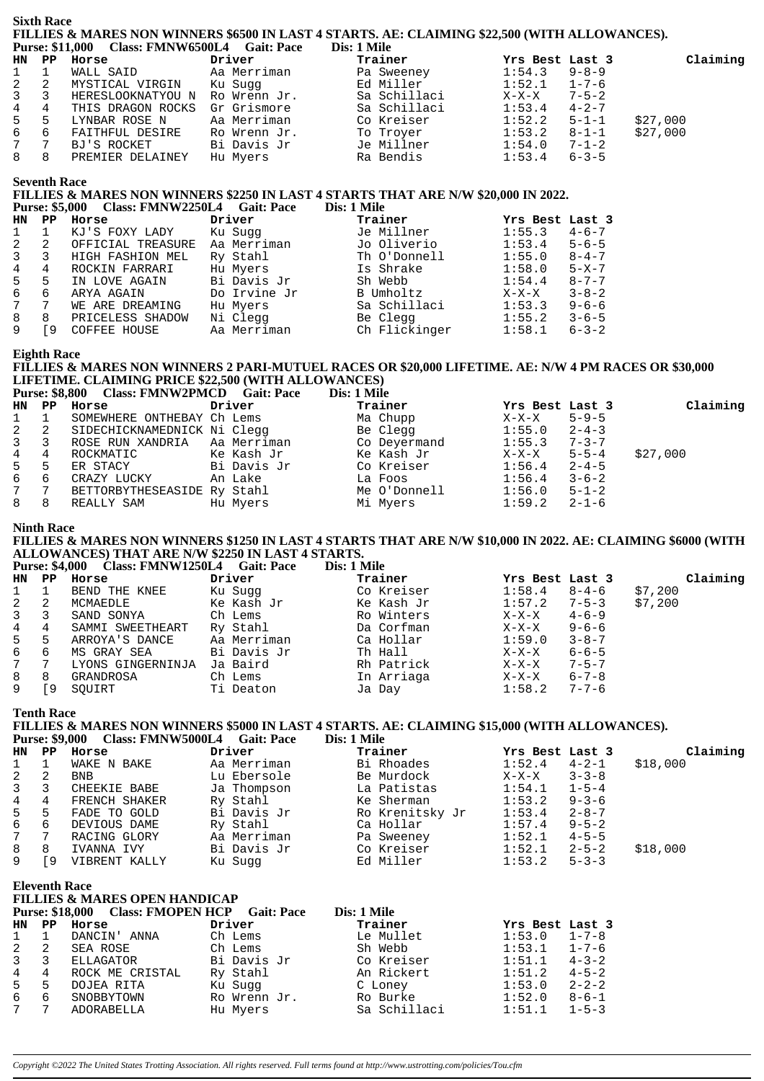|                          | <b>Sixth Race</b>              |                                                                                                  |                          |                                                                                                                         |                         |                            |          |
|--------------------------|--------------------------------|--------------------------------------------------------------------------------------------------|--------------------------|-------------------------------------------------------------------------------------------------------------------------|-------------------------|----------------------------|----------|
| <b>HN</b>                | $_{\rm PP}$                    | Purse: \$11,000 Class: FMNW6500L4 Gait: Pace<br>Horse                                            | Driver                   | FILLIES & MARES NON WINNERS \$6500 IN LAST 4 STARTS. AE: CLAIMING \$22,500 (WITH ALLOWANCES).<br>Dis: 1 Mile<br>Trainer | Yrs Best Last 3         |                            | Claiming |
| 1                        | $\mathbf{1}$                   | WALL SAID                                                                                        | Aa Merriman              | Pa Sweeney                                                                                                              | 1:54.3                  | $9 - 8 - 9$                |          |
| 2                        | 2                              | MYSTICAL VIRGIN                                                                                  | Ku Sugg                  | Ed Miller                                                                                                               | 1:52.1                  | $1 - 7 - 6$                |          |
| 3                        | 3                              | HERESLOOKNATYOU N Ro Wrenn Jr.                                                                   |                          | Sa Schillaci<br>Sa Schillaci                                                                                            | $X-X-X$                 | $7 - 5 - 2$                |          |
| 4                        | $\overline{4}$                 | THIS DRAGON ROCKS Gr Grismore                                                                    |                          |                                                                                                                         | $1:53.4$ $4-2-7$        |                            |          |
| 5                        | 5                              | LYNBAR ROSE N                                                                                    | Aa Merriman              | Co Kreiser<br>To Troyer                                                                                                 | 1:52.2                  | $5 - 1 - 1$                | \$27,000 |
| $\epsilon$<br>$\sqrt{ }$ | 6<br>7                         | FAITHFUL DESIRE                                                                                  | Ro Wrenn Jr.             | To Troyer<br>Je Millner                                                                                                 | 1:53.2<br>1:54.0        | $8 - 1 - 1$                | \$27,000 |
| 8                        | 8                              | BJ'S ROCKET<br>PREMIER DELAINEY Hu Myers                                                         | Bi Davis Jr              | Ra Bendis                                                                                                               | 1:53.4                  | $7 - 1 - 2$<br>$6 - 3 - 5$ |          |
|                          | <b>Seventh Race</b>            |                                                                                                  |                          |                                                                                                                         |                         |                            |          |
|                          |                                | <b>Purse: \$5,000</b><br>Class: FMNW2250L4 Gait: Pace                                            |                          | FILLIES & MARES NON WINNERS \$2250 IN LAST 4 STARTS THAT ARE N/W \$20,000 IN 2022.<br>Dis: 1 Mile                       |                         |                            |          |
| HN.                      |                                | PP Horse                                                                                         | Driver                   | Trainer                                                                                                                 | Yrs Best Last 3         |                            |          |
| 1                        | $\mathbf{1}$                   | KJ'S FOXY LADY                                                                                   | Ku Sugg                  | Je Millner                                                                                                              | $1:55.3$ $4-6-7$        |                            |          |
| 2                        | $\overline{2}$                 | OFFICIAL TREASURE Aa Merriman                                                                    |                          | Jo Oliverio                                                                                                             | 1:53.4                  | $5 - 6 - 5$                |          |
| 3                        | 3                              | HIGH FASHION MEL                                                                                 | Ry Stahl                 | Th O'Donnell                                                                                                            | 1:55.0                  | $8 - 4 - 7$                |          |
| 4                        | 4                              | ROCKIN FARRARI                                                                                   | Hu Myers                 | Is Shrake                                                                                                               | 1:58.0                  | $5 - X - 7$                |          |
| 5<br>$\epsilon$          | 5<br>6                         | IN LOVE AGAIN                                                                                    | Bi Davis Jr              | Sh Webb<br>B Umholtz<br>Sh Webb                                                                                         | 1:54.4<br>$X-X-X$ 3-8-2 | $8 - 7 - 7$                |          |
| $\sqrt{ }$               | 7                              | ARYA AGAIN                                                                                       | Do Irvine Jr<br>Hu Myers | Sa Schillaci                                                                                                            | $1:53.3$ $9-6-6$        |                            |          |
| 8                        | 8                              | WE ARE DREAMING<br>PRICELESS SHADOW                                                              | Ni Clegg                 | Be Clegg                                                                                                                | $1:55.2$ $3-6-5$        |                            |          |
| 9                        | <b>[9</b>                      | COFFEE HOUSE                                                                                     | Aa Merriman              | Ch Flickinger                                                                                                           | 1:58.1                  | $6 - 3 - 2$                |          |
|                          | <b>Eighth Race</b>             | LIFETIME. CLAIMING PRICE \$22,500 (WITH ALLOWANCES)                                              |                          | FILLIES & MARES NON WINNERS 2 PARI-MUTUEL RACES OR \$20,000 LIFETIME. AE: N/W 4 PM RACES OR \$30,000                    |                         |                            |          |
|                          |                                | Purse: \$8,800 Class: FMNW2PMCD Gait: Pace                                                       |                          | Dis: 1 Mile                                                                                                             |                         |                            |          |
| HN                       |                                | PP Horse                                                                                         | Driver                   | Trainer                                                                                                                 | Yrs Best Last 3         |                            | Claiming |
| 1<br>2                   | $\mathbf{1}$<br>$\overline{a}$ | SOMEWHERE ONTHEBAY Ch Lems<br>SIDECHICKNAMEDNICK Ni Cleqq                                        |                          | Ma Chupp<br>Be Clegg                                                                                                    | $X-X-X$<br>1:55.0       | $5 - 9 - 5$<br>$2 - 4 - 3$ |          |
| 3                        | 3                              | ROSE RUN XANDRIA Aa Merriman                                                                     |                          |                                                                                                                         | 1:55.3                  | $7 - 3 - 7$                |          |
| 4                        | 4                              | ROCKMATIC                                                                                        | Ke Kash Jr               | Co Deyermand<br>Ke Kash Jr                                                                                              | $X-X-X$                 | $5 - 5 - 4$                | \$27,000 |
| 5                        | 5                              | ER STACY                                                                                         | Bi Davis Jr              |                                                                                                                         | 1:56.4                  | $2 - 4 - 5$                |          |
| $\epsilon$               | 6                              | CRAZY LUCKY                                                                                      | An Lake                  | Co Kreiser<br>La Foos<br>Me O'Donnel                                                                                    | $1:56.4$ $3-6-2$        |                            |          |
| $\overline{7}$           | 7                              | BETTORBYTHESEASIDE Ry Stahl                                                                      |                          | Me O'Donnell                                                                                                            | 1:56.0                  | $5 - 1 - 2$                |          |
| 8                        | 8                              | REALLY SAM                                                                                       | Hu Myers                 | Mi Myers                                                                                                                | 1:59.2                  | $2 - 1 - 6$                |          |
|                          | <b>Ninth Race</b>              |                                                                                                  |                          | FILLIES & MARES NON WINNERS \$1250 IN LAST 4 STARTS THAT ARE N/W \$10,000 IN 2022. AE: CLAIMING \$6000 (WITH            |                         |                            |          |
|                          |                                | ALLOWANCES) THAT ARE N/W \$2250 IN LAST 4 STARTS.<br>Purse: \$4,000 Class: FMNW1250L4 Gait: Pace |                          | Dis: 1 Mile                                                                                                             |                         |                            |          |
| HN                       |                                | PP Horse                                                                                         | Driver                   | Trainer                                                                                                                 | Yrs Best Last 3         |                            | Claiming |
| 1                        | $\mathbf{1}$                   | BEND THE KNEE                                                                                    | Ku Sugg                  | Co Kreiser                                                                                                              | 1:58.4                  | $8 - 4 - 6$                | \$7,200  |
| 2                        | 2                              | MCMAEDLE                                                                                         | Ke Kash Jr               | Ke Kash Jr                                                                                                              | 1:57.2                  | $7 - 5 - 3$                | \$7,200  |
| 3                        | 3                              | SAND SONYA                                                                                       | Ch Lems                  | Ro Winters                                                                                                              | $X-X-X$                 | $4 - 6 - 9$                |          |
| 4                        | $\overline{4}$                 | SAMMI SWEETHEART                                                                                 | Ry Stahl                 | Da Corfman<br>Da Corruman<br>Ca Hollar                                                                                  | $X-X-X$                 | $9 - 6 - 6$                |          |
| 5                        | 5                              | ARROYA'S DANCE                                                                                   | Aa Merriman              |                                                                                                                         | 1:59.0                  | $3 - 8 - 7$                |          |
| $\epsilon$<br>$\sqrt{ }$ | 6<br>7                         | MS GRAY SEA<br>LYONS GINGERNINJA Ja Baird                                                        | Bi Davis Jr              | Th Hall<br>Rh Patrick                                                                                                   | $X-X-X$<br>$X-X-X$      | $6 - 6 - 5$<br>$7 - 5 - 7$ |          |
| 8                        | 8                              | GRANDROSA                                                                                        | Ch Lems                  | In Arriaga                                                                                                              | $X-X-X$ 6-7-8           |                            |          |
| 9                        |                                | [9 SQUIRT                                                                                        | Ti Deaton                | Ja Day                                                                                                                  | 1:58.2                  | $7 - 7 - 6$                |          |
|                          | <b>Tenth Race</b>              |                                                                                                  |                          |                                                                                                                         |                         |                            |          |
|                          |                                | Purse: \$9,000 Class: FMNW5000L4 Gait: Pace                                                      |                          | FILLIES & MARES NON WINNERS \$5000 IN LAST 4 STARTS. AE: CLAIMING \$15,000 (WITH ALLOWANCES).<br>Dis: 1 Mile            |                         |                            |          |
| HN                       | $\mathbf{P}\mathbf{P}$         | Horse                                                                                            | Driver                   | Trainer                                                                                                                 | Yrs Best Last 3         |                            | Claiming |
| 1                        | $\mathbf{1}$                   | WAKE N BAKE                                                                                      | Aa Merriman              | Bi Rhoades                                                                                                              | 1:52.4                  | 4-2-1                      | \$18,000 |
| 2                        | 2                              | <b>BNB</b>                                                                                       | Lu Ebersole              | Be Murdock                                                                                                              | $X-X-X$                 | $3 - 3 - 8$                |          |
| $\mathsf 3$              | 3                              | CHEEKIE BABE                                                                                     | Ja Thompson              | La Patistas<br>Ke Sherman                                                                                               | 1:54.1                  | $1 - 5 - 4$                |          |
| 4                        | 4                              | FRENCH SHAKER                                                                                    | Ry Stahl                 |                                                                                                                         | 1:53.2                  | $9 - 3 - 6$                |          |
| 5                        | 5                              | FADE TO GOLD                                                                                     | Bi Davis Jr              | Ro Krenitsky Jr<br>Ca Hollar                                                                                            | 1:53.4                  | $2 - 8 - 7$                |          |
| 6                        | 6                              | DEVIOUS DAME                                                                                     | Ry Stahl                 |                                                                                                                         | 1:57.4                  | $9 - 5 - 2$                |          |
| 7                        | 7                              | RACING GLORY                                                                                     | Aa Merriman              | Pa Sweeney                                                                                                              | 1:52.1                  | $4 - 5 - 5$                |          |
| 8<br>9                   | 8<br>ſ9                        | IVANNA IVY<br>VIBRENT KALLY                                                                      | Bi Davis Jr<br>Ku Sugg   | Co Kreiser<br>Ed Miller                                                                                                 | 1:52.1<br>1:53.2        | $2 - 5 - 2$<br>$5 - 3 - 3$ | \$18,000 |
|                          |                                | <b>Eleventh Race</b>                                                                             |                          |                                                                                                                         |                         |                            |          |
|                          |                                | <b>FILLIES &amp; MARES OPEN HANDICAP</b><br>Purse: \$18,000 Class: FMOPEN HCP Gait: Pace         |                          | Dis: 1 Mile                                                                                                             |                         |                            |          |
| HN PP                    |                                | Horse                                                                                            | Driver                   | Trainer                                                                                                                 | Yrs Best Last 3         |                            |          |
| 1                        | $\mathbf{1}$                   | DANCIN' ANNA                                                                                     | Ch Lems                  | Le Mullet                                                                                                               | 1:53.0                  | $1 - 7 - 8$                |          |
| 2                        | 2                              | SEA ROSE                                                                                         | Ch Lems                  | Sh Webb                                                                                                                 | 1:53.1                  | $1 - 7 - 6$                |          |
| 3                        | 3                              | ELLAGATOR                                                                                        | Bi Davis Jr              | Co Kreiser                                                                                                              | 1:51.1                  | $4 - 3 - 2$                |          |
| $\overline{4}$           | 4                              | ROCK ME CRISTAL                                                                                  | Ry Stahl                 | An Rickert                                                                                                              | 1:51.2                  | $4 - 5 - 2$                |          |
| 5                        |                                | DOJEA RITA                                                                                       | Ku Sugg                  | C Loney                                                                                                                 | 1:53.0                  | $2 - 2 - 2$                |          |

*Copyright ©2022 The United States Trotting Association. All rights reserved. Full terms found at http://www.ustrotting.com/policies/Tou.cfm*

6 6 SNOBBYTOWN Ro Wrenn Jr. Ro Burke 1:52.0 8-6-1 7 7 ADORABELLA Hu Myers Sa Schillaci 1:51.1 1-5-3